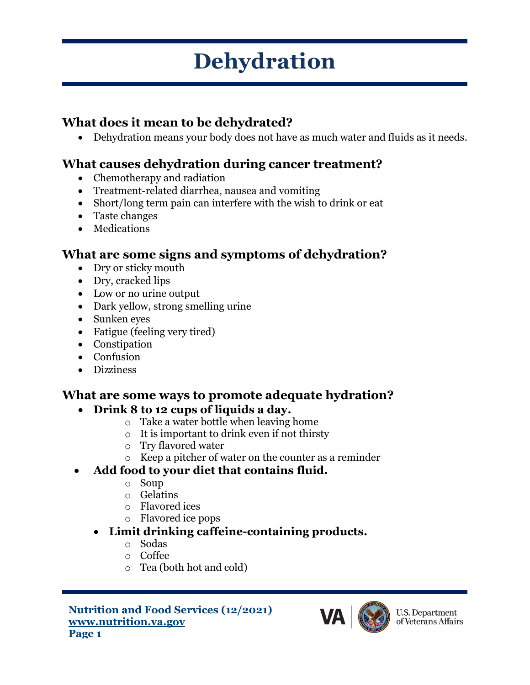# **Dehydration**

## **What does it mean to be dehydrated?**

• Dehydration means your body does not have as much water and fluids as it needs.

## **What causes dehydration during cancer treatment?**

- Chemotherapy and radiation
- Treatment-related diarrhea, nausea and vomiting
- Short/long term pain can interfere with the wish to drink or eat
- Taste changes
- Medications

### **What are some signs and symptoms of dehydration?**

- Dry or sticky mouth
- Dry, cracked lips
- Low or no urine output
- Dark yellow, strong smelling urine
- Sunken eyes
- Fatigue (feeling very tired)
- Constipation
- Confusion
- Dizziness

## **What are some ways to promote adequate hydration?**

#### • **Drink 8 to 12 cups of liquids a day.**

- o Take a water bottle when leaving home
- o It is important to drink even if not thirsty
- o Try flavored water
- o Keep a pitcher of water on the counter as a reminder

#### • **Add food to your diet that contains fluid.**

- o Soup
- o Gelatins
- o Flavored ices
- o Flavored ice pops

#### • **Limit drinking caffeine-containing products.**

- o Sodas
- o Coffee
- o Tea (both hot and cold)